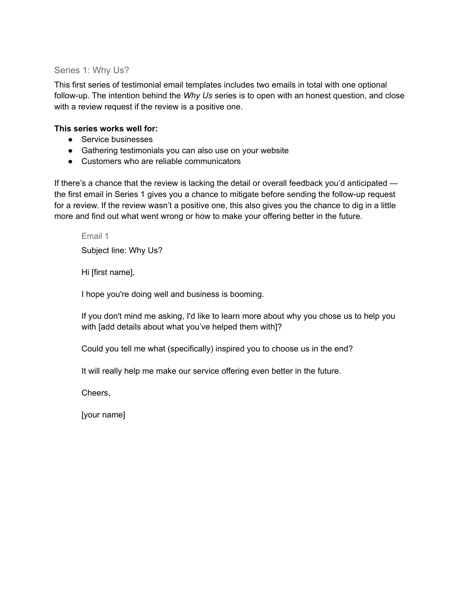## Series 1: Why Us?

This first series of testimonial email templates includes two emails in total with one optional follow-up. The intention behind the *Why Us* series is to open with an honest question, and close with a review request if the review is a positive one.

## **This series works well for:**

- Service businesses
- Gathering testimonials you can also use on your website
- Customers who are reliable communicators

If there's a chance that the review is lacking the detail or overall feedback you'd anticipated the first email in Series 1 gives you a chance to mitigate before sending the follow-up request for a review. If the review wasn't a positive one, this also gives you the chance to dig in a little more and find out what went wrong or how to make your offering better in the future.

Email 1

Subject line: Why Us?

Hi [first name],

I hope you're doing well and business is booming.

If you don't mind me asking, I'd like to learn more about why you chose us to help you with [add details about what you've helped them with]?

Could you tell me what (specifically) inspired you to choose us in the end?

It will really help me make our service offering even better in the future.

Cheers,

[your name]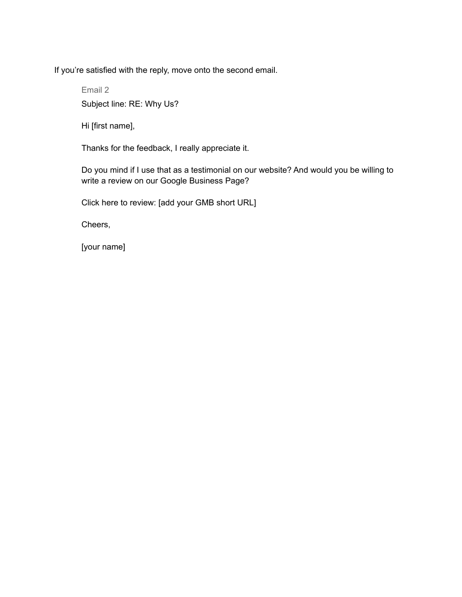If you're satisfied with the reply, move onto the second email.

Email 2 Subject line: RE: Why Us?

Hi [first name],

Thanks for the feedback, I really appreciate it.

Do you mind if I use that as a testimonial on our website? And would you be willing to write a review on our Google Business Page?

Click here to review: [add your GMB short URL]

Cheers,

[your name]